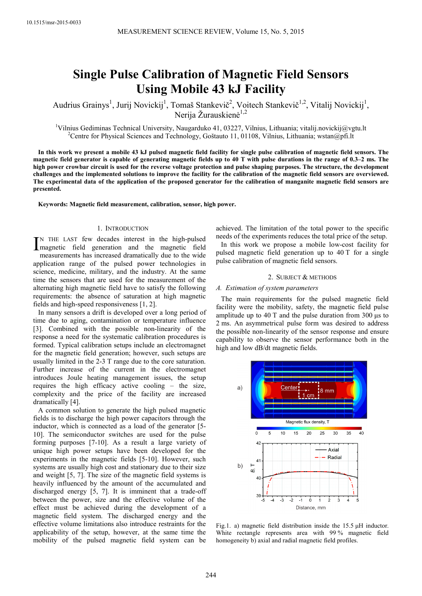# **Single Pulse Calibration of Magnetic Field Sensors Using Mobile 43 kJ Facility**

Audrius Grainys<sup>1</sup>, Jurij Novickij<sup>1</sup>, Tomaš Stankevič<sup>2</sup>, Voitech Stankevič<sup>1,2</sup>, Vitalij Novickij<sup>1</sup>, Nerija Žurauskienė<sup>1,2</sup>

<sup>1</sup>Vilnius Gediminas Technical University, Naugarduko 41, 03227, Vilnius, Lithuania; vitalij.novickij $@v$ gtu.lt <sup>2</sup>Centre for Physical Sciences and Technology, Goštauto 11, 01108, Vilnius, Lithuania; wstan@pfi.lt

**In this work we present a mobile 43 kJ pulsed magnetic field facility for single pulse calibration of magnetic field sensors. The magnetic field generator is capable of generating magnetic fields up to 40 T with pulse durations in the range of 0.3–2 ms. The high power crowbar circuit is used for the reverse voltage protection and pulse shaping purposes. The structure, the development challenges and the implemented solutions to improve the facility for the calibration of the magnetic field sensors are overviewed. The experimental data of the application of the proposed generator for the calibration of manganite magnetic field sensors are presented.** 

**Keywords: Magnetic field measurement, calibration, sensor, high power.** 

# 1. INTRODUCTION

N THE LAST few decades interest in the high-pulsed IN THE LAST few decades interest in the high-pulsed<br>magnetic field generation and the magnetic field<br>magnetic field measurements has increased dramatically due to the wide application range of the pulsed power technologies in science, medicine, military, and the industry. At the same time the sensors that are used for the measurement of the alternating high magnetic field have to satisfy the following requirements: the absence of saturation at high magnetic fields and high-speed responsiveness [1, 2].

In many sensors a drift is developed over a long period of time due to aging, contamination or temperature influence [3]. Combined with the possible non-linearity of the response a need for the systematic calibration procedures is formed. Typical calibration setups include an electromagnet for the magnetic field generation; however, such setups are usually limited in the 2-3 T range due to the core saturation. Further increase of the current in the electromagnet introduces Joule heating management issues, the setup requires the high efficacy active cooling – the size, complexity and the price of the facility are increased dramatically [4].

A common solution to generate the high pulsed magnetic fields is to discharge the high power capacitors through the inductor, which is connected as a load of the generator [5- 10]. The semiconductor switches are used for the pulse forming purposes [7-10]. As a result a large variety of unique high power setups have been developed for the experiments in the magnetic fields [5-10]. However, such systems are usually high cost and stationary due to their size and weight [5, 7]. The size of the magnetic field systems is heavily influenced by the amount of the accumulated and discharged energy [5, 7]. It is imminent that a trade-off between the power, size and the effective volume of the effect must be achieved during the development of a magnetic field system. The discharged energy and the effective volume limitations also introduce restraints for the applicability of the setup, however, at the same time the mobility of the pulsed magnetic field system can be

achieved. The limitation of the total power to the specific needs of the experiments reduces the total price of the setup. In this work we propose a mobile low-cost facility for pulsed magnetic field generation up to 40 T for a single pulse calibration of magnetic field sensors.

## 2. SUBJECT & METHODS

#### *A. Estimation of system parameters*

The main requirements for the pulsed magnetic field facility were the mobility, safety, the magnetic field pulse amplitude up to 40 T and the pulse duration from 300 μs to 2 ms. An asymmetrical pulse form was desired to address the possible non-linearity of the sensor response and ensure capability to observe the sensor performance both in the high and low dB/dt magnetic fields.



Fig.1. a) magnetic field distribution inside the 15.5 μH inductor. White rectangle represents area with 99 % magnetic field homogeneity b) axial and radial magnetic field profiles.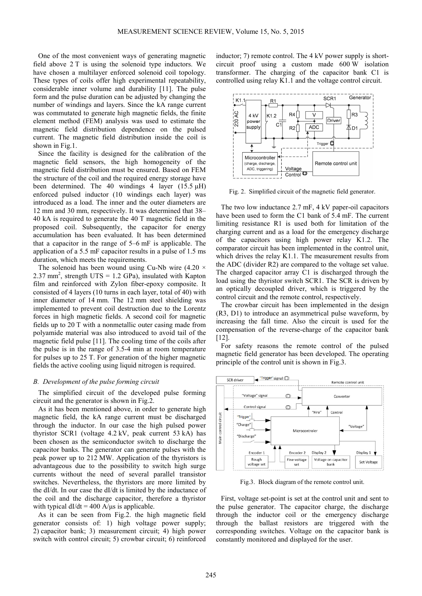One of the most convenient ways of generating magnetic field above 2 T is using the solenoid type inductors. We have chosen a multilayer enforced solenoid coil topology. These types of coils offer high experimental repeatability, considerable inner volume and durability [11]. The pulse form and the pulse duration can be adjusted by changing the number of windings and layers. Since the kA range current was commutated to generate high magnetic fields, the finite element method (FEM) analysis was used to estimate the magnetic field distribution dependence on the pulsed current. The magnetic field distribution inside the coil is shown in Fig.1.

Since the facility is designed for the calibration of the magnetic field sensors, the high homogeneity of the magnetic field distribution must be ensured. Based on FEM the structure of the coil and the required energy storage have been determined. The 40 windings 4 layer (15.5 μH) enforced pulsed inductor (10 windings each layer) was introduced as a load. The inner and the outer diameters are 12 mm and 30 mm, respectively. It was determined that 38– 40 kA is required to generate the 40 T magnetic field in the proposed coil. Subsequently, the capacitor for energy accumulation has been evaluated. It has been determined that a capacitor in the range of 5–6 mF is applicable. The application of a 5.5 mF capacitor results in a pulse of 1.5 ms duration, which meets the requirements.

The solenoid has been wound using Cu-Nb wire  $(4.20 \times$ 2.37 mm<sup>2</sup>, strength UTS = 1.2 GPa), insulated with Kapton film and reinforced with Zylon fiber-epoxy composite. It consisted of 4 layers (10 turns in each layer, total of 40) with inner diameter of 14 mm. The 12 mm steel shielding was implemented to prevent coil destruction due to the Lorentz forces in high magnetic fields. A second coil for magnetic fields up to 20 T with a nonmetallic outer casing made from polyamide material was also introduced to avoid tail of the magnetic field pulse [11]. The cooling time of the coils after the pulse is in the range of 3.5-4 min at room temperature for pulses up to 25 T. For generation of the higher magnetic fields the active cooling using liquid nitrogen is required.

## *B. Development of the pulse forming circuit*

The simplified circuit of the developed pulse forming circuit and the generator is shown in Fig.2.

As it has been mentioned above, in order to generate high magnetic field, the kA range current must be discharged through the inductor. In our case the high pulsed power thyristor SCR1 (voltage 4.2 kV, peak current 53 kA) has been chosen as the semiconductor switch to discharge the capacitor banks. The generator can generate pulses with the peak power up to 212 MW. Application of the thyristors is advantageous due to the possibility to switch high surge currents without the need of several parallel transistor switches. Nevertheless, the thyristors are more limited by the dI/dt. In our case the dI/dt is limited by the inductance of the coil and the discharge capacitor, therefore a thyristor with typical  $dI/dt = 400$  A/μs is applicable.

As it can be seen from Fig.2. the high magnetic field generator consists of: 1) high voltage power supply; 2) capacitor bank; 3) measurement circuit; 4) high power switch with control circuit; 5) crowbar circuit; 6) reinforced

inductor; 7) remote control. The 4 kV power supply is shortcircuit proof using a custom made 600 W isolation transformer. The charging of the capacitor bank C1 is controlled using relay K1.1 and the voltage control circuit.



Fig. 2. Simplified circuit of the magnetic field generator.

The two low inductance 2.7 mF, 4 kV paper-oil capacitors have been used to form the C1 bank of 5.4 mF. The current limiting resistance R1 is used both for limitation of the charging current and as a load for the emergency discharge of the capacitors using high power relay K1.2. The comparator circuit has been implemented in the control unit, which drives the relay K1.1. The measurement results from the ADC (divider R2) are compared to the voltage set value. The charged capacitor array C1 is discharged through the load using the thyristor switch SCR1. The SCR is driven by an optically decoupled driver, which is triggered by the control circuit and the remote control, respectively.

The crowbar circuit has been implemented in the design (R3, D1) to introduce an asymmetrical pulse waveform, by increasing the fall time. Also the circuit is used for the compensation of the reverse-charge of the capacitor bank [12].

For safety reasons the remote control of the pulsed magnetic field generator has been developed. The operating principle of the control unit is shown in Fig.3.



Fig.3. Block diagram of the remote control unit.

First, voltage set-point is set at the control unit and sent to the pulse generator. The capacitor charge, the discharge through the inductor coil or the emergency discharge through the ballast resistors are triggered with the corresponding switches. Voltage on the capacitor bank is constantly monitored and displayed for the user.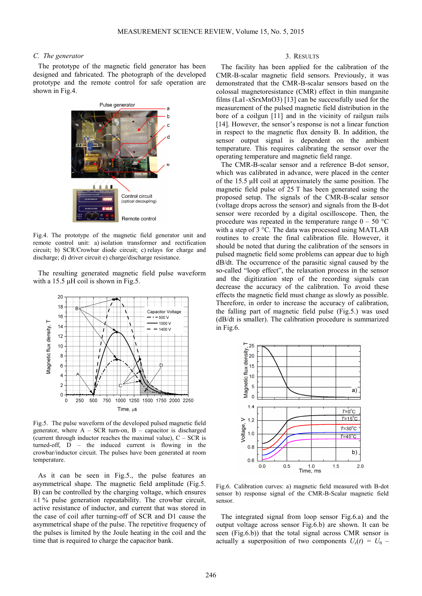# *C. The generator*

The prototype of the magnetic field generator has been designed and fabricated. The photograph of the developed prototype and the remote control for safe operation are shown in Fig.4.



Fig.4. The prototype of the magnetic field generator unit and remote control unit: a) isolation transformer and rectification circuit; b) SCR/Crowbar diode circuit; c) relays for charge and discharge; d) driver circuit e) charge/discharge resistance.

The resulting generated magnetic field pulse waveform with a 15.5  $\mu$ H coil is shown in Fig.5.



Fig.5. The pulse waveform of the developed pulsed magnetic field generator, where  $A - SCR$  turn-on,  $B -$  capacitor is discharged (current through inductor reaches the maximal value),  $C - SCR$  is turned-off, D – the induced current is flowing in the crowbar/inductor circuit. The pulses have been generated at room temperature.

As it can be seen in Fig.5., the pulse features an asymmetrical shape. The magnetic field amplitude (Fig.5. B) can be controlled by the charging voltage, which ensures  $\pm 1$  % pulse generation repeatability. The crowbar circuit, active resistance of inductor, and current that was stored in the case of coil after turning-off of SCR and D1 cause the asymmetrical shape of the pulse. The repetitive frequency of the pulses is limited by the Joule heating in the coil and the time that is required to charge the capacitor bank.

# 3. RESULTS

The facility has been applied for the calibration of the CMR-B-scalar magnetic field sensors. Previously, it was demonstrated that the CMR-B-scalar sensors based on the colossal magnetoresistance (CMR) effect in thin manganite films (La1-xSrxMnO3) [13] can be successfully used for the measurement of the pulsed magnetic field distribution in the bore of a coilgun [11] and in the vicinity of railgun rails [14]. However, the sensor's response is not a linear function in respect to the magnetic flux density B. In addition, the sensor output signal is dependent on the ambient temperature. This requires calibrating the sensor over the operating temperature and magnetic field range.

The CMR-B-scalar sensor and a reference B-dot sensor, which was calibrated in advance, were placed in the center of the 15.5 μH coil at approximately the same position. The magnetic field pulse of 25 T has been generated using the proposed setup. The signals of the CMR-B-scalar sensor (voltage drops across the sensor) and signals from the B-dot sensor were recorded by a digital oscilloscope. Then, the procedure was repeated in the temperature range  $0 - 50$  °C with a step of 3 °C. The data was processed using MATLAB routines to create the final calibration file. However, it should be noted that during the calibration of the sensors in pulsed magnetic field some problems can appear due to high dB/dt. The occurrence of the parasitic signal caused by the so-called "loop effect", the relaxation process in the sensor and the digitization step of the recording signals can decrease the accuracy of the calibration. To avoid these effects the magnetic field must change as slowly as possible. Therefore, in order to increase the accuracy of calibration, the falling part of magnetic field pulse (Fig.5.) was used (dB/dt is smaller). The calibration procedure is summarized in Fig.6.



Fig.6. Calibration curves: a) magnetic field measured with B-dot sensor b) response signal of the CMR-B-Scalar magnetic field sensor.

The integrated signal from loop sensor Fig.6.a) and the output voltage across sensor Fig.6.b) are shown. It can be seen (Fig.6.b)) that the total signal across CMR sensor is actually a superposition of two components  $U_s(t) = U_0$  –